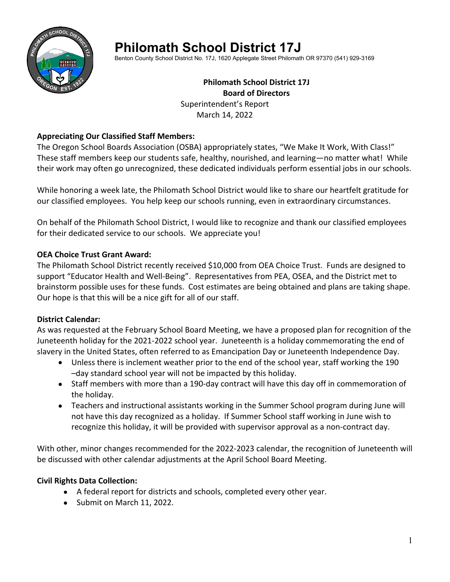

# **Philomath School District 17J**

Benton County School District No. 17J, 1620 Applegate Street Philomath OR 97370 (541) 929-3169

## **Philomath School District 17J Board of Directors** Superintendent's Report March 14, 2022

## **Appreciating Our Classified Staff Members:**

The Oregon School Boards Association (OSBA) appropriately states, "We Make It Work, With Class!" These staff members keep our students safe, healthy, nourished, and learning—no matter what! While their work may often go unrecognized, these dedicated individuals perform essential jobs in our schools.

While honoring a week late, the Philomath School District would like to share our heartfelt gratitude for our classified employees. You help keep our schools running, even in extraordinary circumstances.

On behalf of the Philomath School District, I would like to recognize and thank our classified employees for their dedicated service to our schools. We appreciate you!

## **OEA Choice Trust Grant Award:**

The Philomath School District recently received \$10,000 from OEA Choice Trust. Funds are designed to support "Educator Health and Well-Being". Representatives from PEA, OSEA, and the District met to brainstorm possible uses for these funds. Cost estimates are being obtained and plans are taking shape. Our hope is that this will be a nice gift for all of our staff.

# **District Calendar:**

As was requested at the February School Board Meeting, we have a proposed plan for recognition of the Juneteenth holiday for the 2021-2022 school year. Juneteenth is a holiday commemorating the end of slavery in the United States, often referred to as Emancipation Day or Juneteenth Independence Day.

- Unless there is inclement weather prior to the end of the school year, staff working the 190 –day standard school year will not be impacted by this holiday.
- Staff members with more than a 190-day contract will have this day off in commemoration of the holiday.
- Teachers and instructional assistants working in the Summer School program during June will not have this day recognized as a holiday. If Summer School staff working in June wish to recognize this holiday, it will be provided with supervisor approval as a non-contract day.

With other, minor changes recommended for the 2022-2023 calendar, the recognition of Juneteenth will be discussed with other calendar adjustments at the April School Board Meeting.

# **Civil Rights Data Collection:**

- A federal report for districts and schools, completed every other year.
- Submit on March 11, 2022.